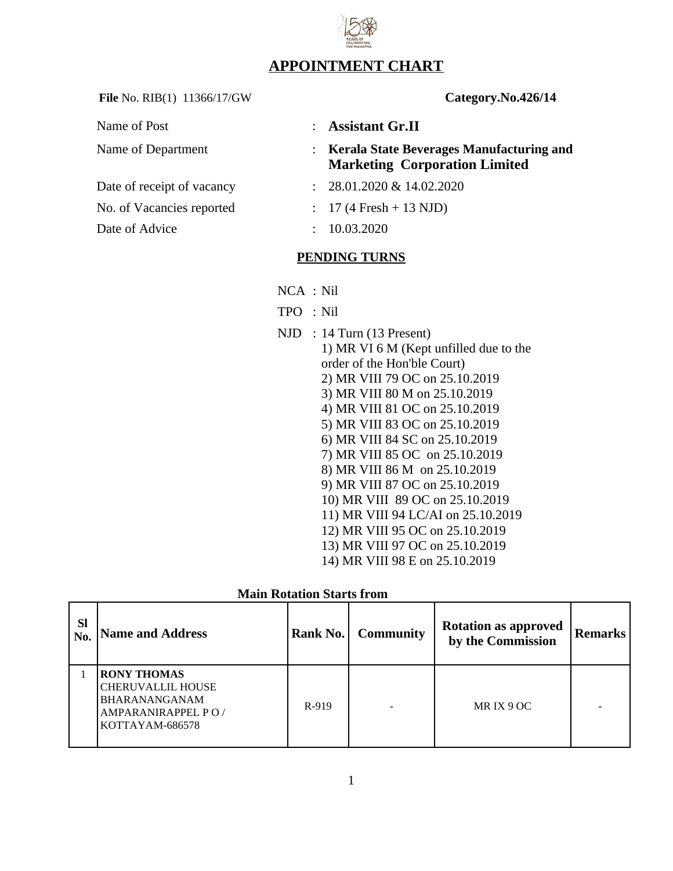## **APPOINTMENT CHART**

File No. RIB(1) 11366/17/GW **Category.No.426/14** 

| Name of Post               |               | : Assistant Gr.II                                                                  |
|----------------------------|---------------|------------------------------------------------------------------------------------|
| Name of Department         |               | : Kerala State Beverages Manufacturing and<br><b>Marketing Corporation Limited</b> |
| Date of receipt of vacancy |               | $: 28.01.2020 \& 14.02.2020$                                                       |
| No. of Vacancies reported  |               | $: 17(4$ Fresh + 13 NJD)                                                           |
| Date of Advice             | $\mathcal{L}$ | 10.03.2020                                                                         |
|                            |               | <b>PENDING TURNS</b>                                                               |

- NCA : Nil
- TPO : Nil
- NJD : 14 Turn (13 Present) 1) MR VI 6 M (Kept unfilled due to the order of the Hon'ble Court) 2) MR VIII 79 OC on 25.10.2019 3) MR VIII 80 M on 25.10.2019 4) MR VIII 81 OC on 25.10.2019 5) MR VIII 83 OC on 25.10.2019 6) MR VIII 84 SC on 25.10.2019 7) MR VIII 85 OC on 25.10.2019 8) MR VIII 86 M on 25.10.2019 9) MR VIII 87 OC on 25.10.2019 10) MR VIII 89 OC on 25.10.2019 11) MR VIII 94 LC/AI on 25.10.2019 12) MR VIII 95 OC on 25.10.2019 13) MR VIII 97 OC on 25.10.2019 14) MR VIII 98 E on 25.10.2019

| <b>Main Rotation Starts from</b> |  |
|----------------------------------|--|
|                                  |  |

| <b>Sl</b><br>No. | <b>Name and Address</b>                                                                                         | Rank No. | <b>Community</b> | <b>Rotation as approved</b><br>by the Commission | Remarks |
|------------------|-----------------------------------------------------------------------------------------------------------------|----------|------------------|--------------------------------------------------|---------|
|                  | <b>RONY THOMAS</b><br><b>CHERUVALLIL HOUSE</b><br>BHARANANGANAM<br><b>AMPARANIRAPPEL PO/</b><br>KOTTAYAM-686578 | R-919    |                  | MRIX 9 OC                                        |         |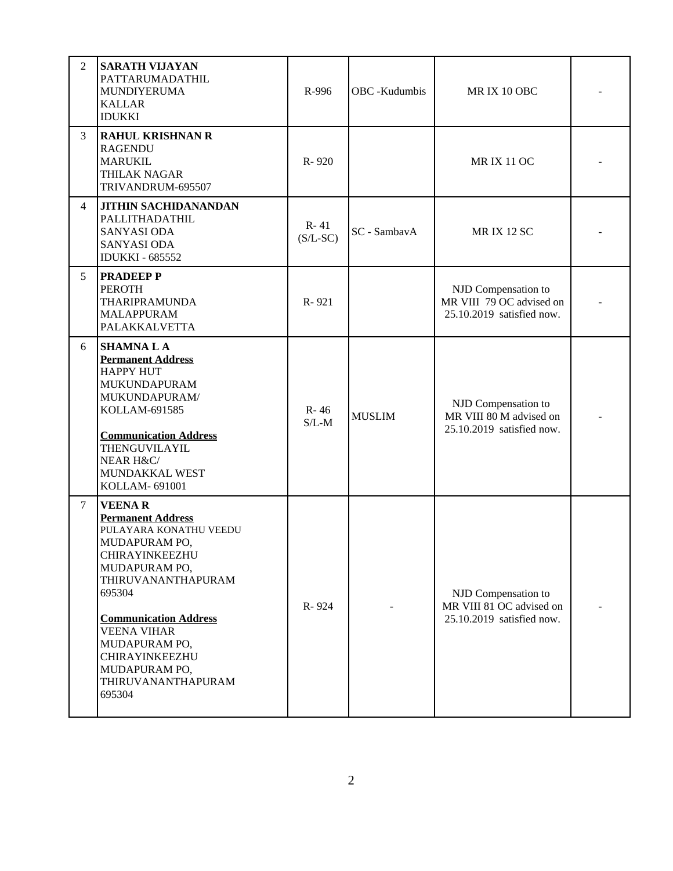| $\overline{2}$ | <b>SARATH VIJAYAN</b><br>PATTARUMADATHIL<br>MUNDIYERUMA<br><b>KALLAR</b><br><b>IDUKKI</b>                                                                                                                                                                                                         | R-996                  | OBC -Kudumbis | MRIX 10 OBC                                                                  |  |
|----------------|---------------------------------------------------------------------------------------------------------------------------------------------------------------------------------------------------------------------------------------------------------------------------------------------------|------------------------|---------------|------------------------------------------------------------------------------|--|
| 3              | <b>RAHUL KRISHNAN R</b><br><b>RAGENDU</b><br><b>MARUKIL</b><br>THILAK NAGAR<br>TRIVANDRUM-695507                                                                                                                                                                                                  | R-920                  |               | <b>MRIX 11 OC</b>                                                            |  |
| $\overline{4}$ | <b>JITHIN SACHIDANANDAN</b><br>PALLITHADATHIL<br><b>SANYASI ODA</b><br><b>SANYASI ODA</b><br><b>IDUKKI - 685552</b>                                                                                                                                                                               | $R - 41$<br>$(S/L-SC)$ | SC - SambavA  | <b>MRIX 12 SC</b>                                                            |  |
| 5              | <b>PRADEEP P</b><br><b>PEROTH</b><br><b>THARIPRAMUNDA</b><br><b>MALAPPURAM</b><br>PALAKKALVETTA                                                                                                                                                                                                   | R-921                  |               | NJD Compensation to<br>MR VIII 79 OC advised on<br>25.10.2019 satisfied now. |  |
| 6              | <b>SHAMNA L A</b><br><b>Permanent Address</b><br><b>HAPPY HUT</b><br>MUKUNDAPURAM<br>MUKUNDAPURAM/<br>KOLLAM-691585<br><b>Communication Address</b><br>THENGUVILAYIL<br>NEAR H&C/<br>MUNDAKKAL WEST<br>KOLLAM-691001                                                                              | $R - 46$<br>$S/L-M$    | <b>MUSLIM</b> | NJD Compensation to<br>MR VIII 80 M advised on<br>25.10.2019 satisfied now.  |  |
| $\overline{7}$ | <b>VEENAR</b><br><b>Permanent Address</b><br>PULAYARA KONATHU VEEDU<br>MUDAPURAM PO,<br>CHIRAYINKEEZHU<br>MUDAPURAM PO,<br>THIRUVANANTHAPURAM<br>695304<br><b>Communication Address</b><br><b>VEENA VIHAR</b><br>MUDAPURAM PO,<br>CHIRAYINKEEZHU<br>MUDAPURAM PO,<br>THIRUVANANTHAPURAM<br>695304 | R-924                  |               | NJD Compensation to<br>MR VIII 81 OC advised on<br>25.10.2019 satisfied now. |  |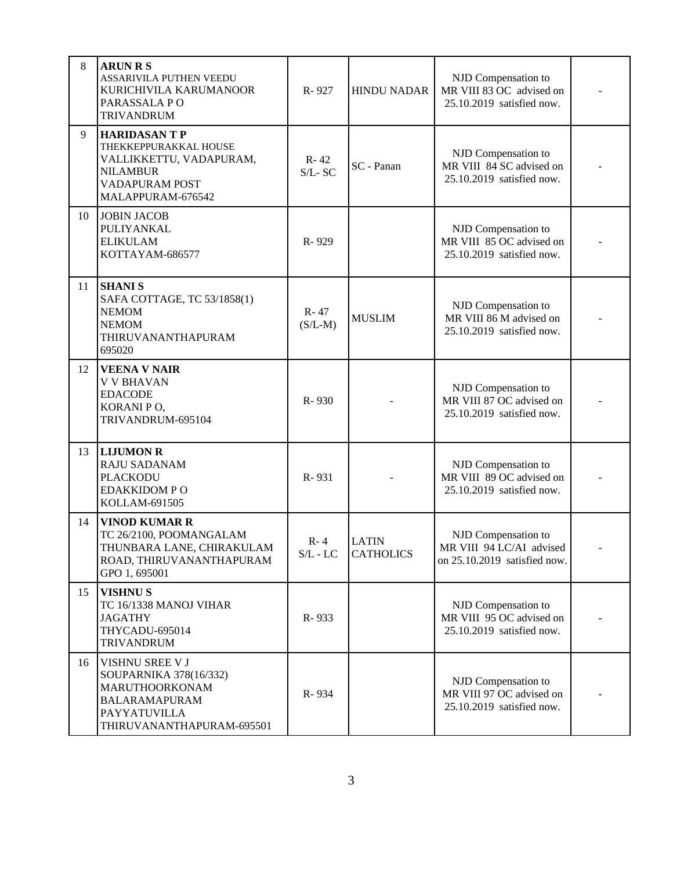| 8  | <b>ARUN R S</b>                                                                                                                  |                         |                                                                                            |                                                                                 |  |
|----|----------------------------------------------------------------------------------------------------------------------------------|-------------------------|--------------------------------------------------------------------------------------------|---------------------------------------------------------------------------------|--|
|    | ASSARIVILA PUTHEN VEEDU<br>KURICHIVILA KARUMANOOR<br>PARASSALA PO<br><b>TRIVANDRUM</b>                                           | R-927                   | <b>HINDU NADAR</b>                                                                         | NJD Compensation to<br>MR VIII 83 OC advised on<br>25.10.2019 satisfied now.    |  |
| 9  | <b>HARIDASANTP</b><br>THEKKEPPURAKKAL HOUSE<br>VALLIKKETTU, VADAPURAM,<br><b>NILAMBUR</b><br>VADAPURAM POST<br>MALAPPURAM-676542 | $R - 42$<br>$S/L$ -SC   | NJD Compensation to<br>MR VIII 84 SC advised on<br>SC - Panan<br>25.10.2019 satisfied now. |                                                                                 |  |
| 10 | <b>JOBIN JACOB</b><br>PULIYANKAL<br><b>ELIKULAM</b><br>KOTTAYAM-686577                                                           | R-929                   | NJD Compensation to<br>MR VIII 85 OC advised on<br>25.10.2019 satisfied now.               |                                                                                 |  |
| 11 | <b>SHANI S</b><br>SAFA COTTAGE, TC 53/1858(1)<br><b>NEMOM</b><br><b>NEMOM</b><br>THIRUVANANTHAPURAM<br>695020                    | R-47<br>$(S/L-M)$       | <b>MUSLIM</b>                                                                              | NJD Compensation to<br>MR VIII 86 M advised on<br>25.10.2019 satisfied now.     |  |
| 12 | <b>VEENA V NAIR</b><br><b>V V BHAVAN</b><br><b>EDACODE</b><br>KORANI PO,<br>TRIVANDRUM-695104                                    | R-930                   |                                                                                            | NJD Compensation to<br>MR VIII 87 OC advised on<br>25.10.2019 satisfied now.    |  |
| 13 | <b>LIJUMON R</b><br>RAJU SADANAM<br><b>PLACKODU</b><br><b>EDAKKIDOM P O</b><br>KOLLAM-691505                                     | R-931                   |                                                                                            | NJD Compensation to<br>MR VIII 89 OC advised on<br>25.10.2019 satisfied now.    |  |
| 14 | <b>VINOD KUMAR R</b><br>TC 26/2100, POOMANGALAM<br>THUNBARA LANE, CHIRAKULAM<br>ROAD, THIRUVANANTHAPURAM<br>GPO 1, 695001        | $R - 4$<br>$S/L$ - $LC$ | <b>LATIN</b><br><b>CATHOLICS</b>                                                           | NJD Compensation to<br>MR VIII 94 LC/AI advised<br>on 25.10.2019 satisfied now. |  |
| 15 | <b>VISHNUS</b><br>TC 16/1338 MANOJ VIHAR<br><b>JAGATHY</b><br>THYCADU-695014<br>TRIVANDRUM                                       | R-933                   |                                                                                            | NJD Compensation to<br>MR VIII 95 OC advised on<br>25.10.2019 satisfied now.    |  |
| 16 | VISHNU SREE V J<br>SOUPARNIKA 378(16/332)<br>MARUTHOORKONAM<br><b>BALARAMAPURAM</b><br>PAYYATUVILLA<br>THIRUVANANTHAPURAM-695501 | R-934                   |                                                                                            | NJD Compensation to<br>MR VIII 97 OC advised on<br>25.10.2019 satisfied now.    |  |